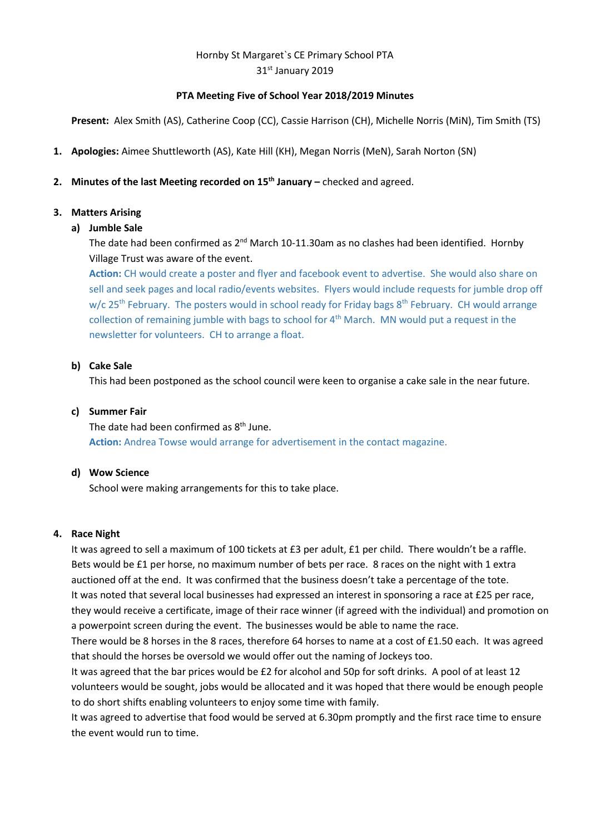# Hornby St Margaret`s CE Primary School PTA 31st January 2019

## **PTA Meeting Five of School Year 2018/2019 Minutes**

**Present:** Alex Smith (AS), Catherine Coop (CC), Cassie Harrison (CH), Michelle Norris (MiN), Tim Smith (TS)

**1. Apologies:** Aimee Shuttleworth (AS), Kate Hill (KH), Megan Norris (MeN), Sarah Norton (SN)

# **2. Minutes of the last Meeting recorded on 15th January –** checked and agreed.

# **3. Matters Arising**

## **a) Jumble Sale**

The date had been confirmed as 2<sup>nd</sup> March 10-11.30am as no clashes had been identified. Hornby Village Trust was aware of the event.

**Action:** CH would create a poster and flyer and facebook event to advertise. She would also share on sell and seek pages and local radio/events websites. Flyers would include requests for jumble drop off w/c 25<sup>th</sup> February. The posters would in school ready for Friday bags 8<sup>th</sup> February. CH would arrange collection of remaining jumble with bags to school for  $4<sup>th</sup>$  March. MN would put a request in the newsletter for volunteers. CH to arrange a float.

## **b) Cake Sale**

This had been postponed as the school council were keen to organise a cake sale in the near future.

## **c) Summer Fair**

The date had been confirmed as  $8<sup>th</sup>$  June. **Action:** Andrea Towse would arrange for advertisement in the contact magazine.

#### **d) Wow Science**

School were making arrangements for this to take place.

#### **4. Race Night**

It was agreed to sell a maximum of 100 tickets at £3 per adult, £1 per child. There wouldn't be a raffle. Bets would be £1 per horse, no maximum number of bets per race. 8 races on the night with 1 extra auctioned off at the end. It was confirmed that the business doesn't take a percentage of the tote. It was noted that several local businesses had expressed an interest in sponsoring a race at £25 per race, they would receive a certificate, image of their race winner (if agreed with the individual) and promotion on a powerpoint screen during the event. The businesses would be able to name the race.

There would be 8 horses in the 8 races, therefore 64 horses to name at a cost of £1.50 each. It was agreed that should the horses be oversold we would offer out the naming of Jockeys too.

It was agreed that the bar prices would be £2 for alcohol and 50p for soft drinks. A pool of at least 12 volunteers would be sought, jobs would be allocated and it was hoped that there would be enough people to do short shifts enabling volunteers to enjoy some time with family.

It was agreed to advertise that food would be served at 6.30pm promptly and the first race time to ensure the event would run to time.